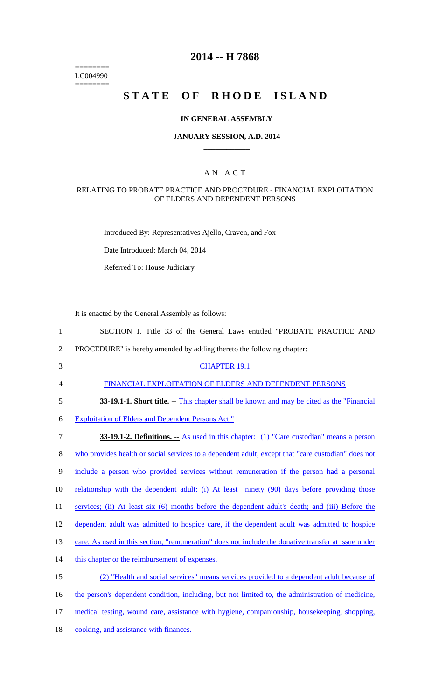======== LC004990 ========

## **2014 -- H 7868**

# STATE OF RHODE ISLAND

#### **IN GENERAL ASSEMBLY**

#### **JANUARY SESSION, A.D. 2014 \_\_\_\_\_\_\_\_\_\_\_\_**

### A N A C T

#### RELATING TO PROBATE PRACTICE AND PROCEDURE - FINANCIAL EXPLOITATION OF ELDERS AND DEPENDENT PERSONS

Introduced By: Representatives Ajello, Craven, and Fox

Date Introduced: March 04, 2014

Referred To: House Judiciary

It is enacted by the General Assembly as follows:

| SECTION 1. Title 33 of the General Laws entitled "PROBATE PRACTICE AND |
|------------------------------------------------------------------------|
|------------------------------------------------------------------------|

- 2 PROCEDURE" is hereby amended by adding thereto the following chapter:
- 3 CHAPTER 19.1

4 FINANCIAL EXPLOITATION OF ELDERS AND DEPENDENT PERSONS

5 **33-19.1-1. Short title.** -- This chapter shall be known and may be cited as the "Financial"

6 Exploitation of Elders and Dependent Persons Act."

7 **33-19.1-2. Definitions. --** As used in this chapter: (1) "Care custodian" means a person 8 who provides health or social services to a dependent adult, except that "care custodian" does not 9 include a person who provided services without remuneration if the person had a personal 10 relationship with the dependent adult: (i) At least ninety (90) days before providing those 11 services; (ii) At least six (6) months before the dependent adult's death; and (iii) Before the 12 dependent adult was admitted to hospice care, if the dependent adult was admitted to hospice 13 care. As used in this section, "remuneration" does not include the donative transfer at issue under 14 this chapter or the reimbursement of expenses. 15 (2) "Health and social services" means services provided to a dependent adult because of 16 the person's dependent condition, including, but not limited to, the administration of medicine, 17 medical testing, wound care, assistance with hygiene, companionship, housekeeping, shopping, 18 cooking, and assistance with finances.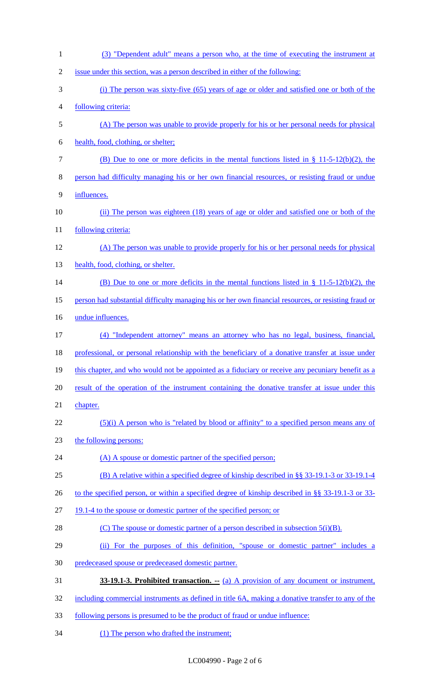| $\mathbf{1}$   | (3) "Dependent adult" means a person who, at the time of executing the instrument at                 |
|----------------|------------------------------------------------------------------------------------------------------|
| $\overline{2}$ | issue under this section, was a person described in either of the following:                         |
| 3              | (i) The person was sixty-five (65) years of age or older and satisfied one or both of the            |
| 4              | following criteria:                                                                                  |
| 5              | (A) The person was unable to provide properly for his or her personal needs for physical             |
| 6              | health, food, clothing, or shelter;                                                                  |
| 7              | (B) Due to one or more deficits in the mental functions listed in $\S$ 11-5-12(b)(2), the            |
| 8              | person had difficulty managing his or her own financial resources, or resisting fraud or undue       |
| 9              | influences.                                                                                          |
| 10             | (ii) The person was eighteen (18) years of age or older and satisfied one or both of the             |
| 11             | following criteria:                                                                                  |
| 12             | (A) The person was unable to provide properly for his or her personal needs for physical             |
| 13             | health, food, clothing, or shelter.                                                                  |
| 14             | (B) Due to one or more deficits in the mental functions listed in $\S$ 11-5-12(b)(2), the            |
| 15             | person had substantial difficulty managing his or her own financial resources, or resisting fraud or |
| 16             | undue influences.                                                                                    |
| 17             | (4) "Independent attorney" means an attorney who has no legal, business, financial,                  |
| 18             | professional, or personal relationship with the beneficiary of a donative transfer at issue under    |
| 19             | this chapter, and who would not be appointed as a fiduciary or receive any pecuniary benefit as a    |
| 20             | result of the operation of the instrument containing the donative transfer at issue under this       |
| 21             | chapter.                                                                                             |
| 22             | $(5)(i)$ A person who is "related by blood or affinity" to a specified person means any of           |
| 23             | the following persons:                                                                               |
| 24             | (A) A spouse or domestic partner of the specified person;                                            |
| 25             | (B) A relative within a specified degree of kinship described in $\S$ § 33-19.1-3 or 33-19.1-4       |
| 26             | to the specified person, or within a specified degree of kinship described in §§ 33-19.1-3 or 33-    |
| 27             | 19.1-4 to the spouse or domestic partner of the specified person; or                                 |
| 28             | (C) The spouse or domestic partner of a person described in subsection $5(i)(B)$ .                   |
| 29             | (ii) For the purposes of this definition, "spouse or domestic partner" includes a                    |
| 30             | predeceased spouse or predeceased domestic partner.                                                  |
| 31             | <b>33-19.1-3. Prohibited transaction.</b> - (a) A provision of any document or instrument,           |
| 32             | including commercial instruments as defined in title 6A, making a donative transfer to any of the    |
| 33             | <u>following persons is presumed to be the product of fraud or undue influence:</u>                  |
|                |                                                                                                      |

(1) The person who drafted the instrument;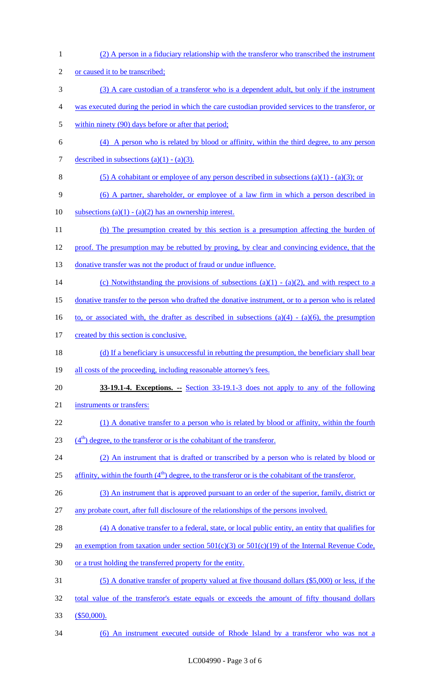| $\mathbf{1}$   | (2) A person in a fiduciary relationship with the transferor who transcribed the instrument           |
|----------------|-------------------------------------------------------------------------------------------------------|
| $\overline{2}$ | or caused it to be transcribed;                                                                       |
| 3              | (3) A care custodian of a transferor who is a dependent adult, but only if the instrument             |
| 4              | was executed during the period in which the care custodian provided services to the transferor, or    |
| 5              | within ninety (90) days before or after that period;                                                  |
| 6              | (4) A person who is related by blood or affinity, within the third degree, to any person              |
| 7              | described in subsections $(a)(1) - (a)(3)$ .                                                          |
| 8              | (5) A cohabitant or employee of any person described in subsections (a)(1) - (a)(3); or               |
| 9              | (6) A partner, shareholder, or employee of a law firm in which a person described in                  |
| 10             | subsections (a)(1) - (a)(2) has an ownership interest.                                                |
| 11             | (b) The presumption created by this section is a presumption affecting the burden of                  |
| 12             | proof. The presumption may be rebutted by proving, by clear and convincing evidence, that the         |
| 13             | donative transfer was not the product of fraud or undue influence.                                    |
| 14             | (c) Notwithstanding the provisions of subsections (a)(1) - (a)(2), and with respect to a              |
| 15             | donative transfer to the person who drafted the donative instrument, or to a person who is related    |
| 16             | to, or associated with, the drafter as described in subsections (a)(4) - (a)(6), the presumption      |
| 17             | created by this section is conclusive.                                                                |
| 18             | (d) If a beneficiary is unsuccessful in rebutting the presumption, the beneficiary shall bear         |
| 19             | all costs of the proceeding, including reasonable attorney's fees.                                    |
| 20             | <b>33-19.1-4. Exceptions.</b> -- Section 33-19.1-3 does not apply to any of the following             |
| 21             | instruments or transfers:                                                                             |
| 22             | (1) A donative transfer to a person who is related by blood or affinity, within the fourth            |
| 23             | $(4th)$ degree, to the transferor or is the cohabitant of the transferor.                             |
| 24             | (2) An instrument that is drafted or transcribed by a person who is related by blood or               |
| 25             | affinity, within the fourth $(4th)$ degree, to the transferor or is the cohabitant of the transferor. |
| 26             | (3) An instrument that is approved pursuant to an order of the superior, family, district or          |
| 27             | any probate court, after full disclosure of the relationships of the persons involved.                |
| 28             | (4) A donative transfer to a federal, state, or local public entity, an entity that qualifies for     |
| 29             | an exemption from taxation under section $501(c)(3)$ or $501(c)(19)$ of the Internal Revenue Code,    |
| 30             | or a trust holding the transferred property for the entity.                                           |
| 31             | (5) A donative transfer of property valued at five thousand dollars (\$5,000) or less, if the         |
| 32             | total value of the transferor's estate equals or exceeds the amount of fifty thousand dollars         |
| 33             | $$50,000$ ).                                                                                          |
| 34             | (6) An instrument executed outside of Rhode Island by a transferor who was not a                      |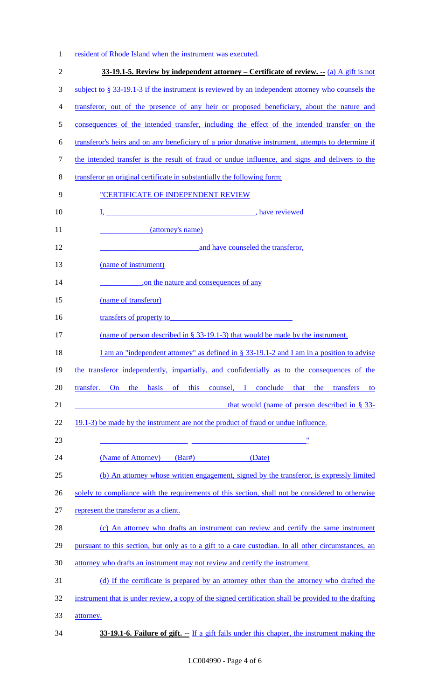|  |  |  | resident of Rhode Island when the instrument was executed. |  |
|--|--|--|------------------------------------------------------------|--|
|  |  |  |                                                            |  |

| $\overline{2}$ | 33-19.1-5. Review by independent attorney – Certificate of review. $-$ (a) A gift is not              |
|----------------|-------------------------------------------------------------------------------------------------------|
| 3              | subject to $\S$ 33-19.1-3 if the instrument is reviewed by an independent attorney who counsels the   |
| $\overline{4}$ | transferor, out of the presence of any heir or proposed beneficiary, about the nature and             |
| 5              | consequences of the intended transfer, including the effect of the intended transfer on the           |
| 6              | transferor's heirs and on any beneficiary of a prior donative instrument, attempts to determine if    |
| $\tau$         | the intended transfer is the result of fraud or undue influence, and signs and delivers to the        |
| $8\,$          | transferor an original certificate in substantially the following form:                               |
| 9              | "CERTIFICATE OF INDEPENDENT REVIEW                                                                    |
| 10             | I, have reviewed                                                                                      |
| 11             | (attorney's name)                                                                                     |
| 12             | and have counseled the transferor,                                                                    |
| 13             | (name of instrument)                                                                                  |
| 14             | on the nature and consequences of any                                                                 |
| 15             | (name of transferor)                                                                                  |
| 16             | transfers of property to                                                                              |
| 17             | (name of person described in $\S$ 33-19.1-3) that would be made by the instrument.                    |
| 18             | I am an "independent attorney" as defined in $\S$ 33-19.1-2 and I am in a position to advise          |
| 19             | the transferor independently, impartially, and confidentially as to the consequences of the           |
| 20             | transfer.<br>basis of<br>this counsel, I conclude that the transfers<br>On the<br>to                  |
| 21             | that would (name of person described in $\S$ 33-                                                      |
| 22             | 19.1-3) be made by the instrument are not the product of fraud or undue influence.                    |
| 23             | $\pmb{\mathsf{H}}$                                                                                    |
| 24             | (Name of Attorney)<br>$(Bar\#)$<br>(Date)                                                             |
| 25             | (b) An attorney whose written engagement, signed by the transferor, is expressly limited              |
| 26             | solely to compliance with the requirements of this section, shall not be considered to otherwise      |
| 27             | represent the transferor as a client.                                                                 |
| 28             | (c) An attorney who drafts an instrument can review and certify the same instrument                   |
| 29             | pursuant to this section, but only as to a gift to a care custodian. In all other circumstances, an   |
| 30             | attorney who drafts an instrument may not review and certify the instrument.                          |
| 31             | (d) If the certificate is prepared by an attorney other than the attorney who drafted the             |
| 32             | instrument that is under review, a copy of the signed certification shall be provided to the drafting |
| 33             | attorney.                                                                                             |
| 34             | 33-19.1-6. Failure of gift. -- If a gift fails under this chapter, the instrument making the          |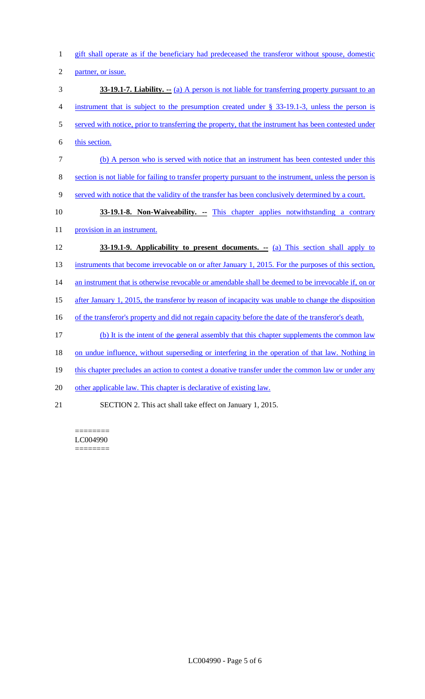gift shall operate as if the beneficiary had predeceased the transferor without spouse, domestic partner, or issue. **33-19.1-7. Liability. --** (a) A person is not liable for transferring property pursuant to an instrument that is subject to the presumption created under § 33-19.1-3, unless the person is 5 served with notice, prior to transferring the property, that the instrument has been contested under this section. (b) A person who is served with notice that an instrument has been contested under this section is not liable for failing to transfer property pursuant to the instrument, unless the person is served with notice that the validity of the transfer has been conclusively determined by a court. **33-19.1-8. Non-Waiveability.** -- This chapter applies notwithstanding a contrary 11 provision in an instrument. **33-19.1-9. Applicability to present documents.** -- (a) This section shall apply to 13 instruments that become irrevocable on or after January 1, 2015. For the purposes of this section, 14 an instrument that is otherwise revocable or amendable shall be deemed to be irrevocable if, on or after January 1, 2015, the transferor by reason of incapacity was unable to change the disposition 16 of the transferor's property and did not regain capacity before the date of the transferor's death. (b) It is the intent of the general assembly that this chapter supplements the common law 18 on undue influence, without superseding or interfering in the operation of that law. Nothing in 19 this chapter precludes an action to contest a donative transfer under the common law or under any 20 other applicable law. This chapter is declarative of existing law. SECTION 2. This act shall take effect on January 1, 2015.

======== LC004990 ========